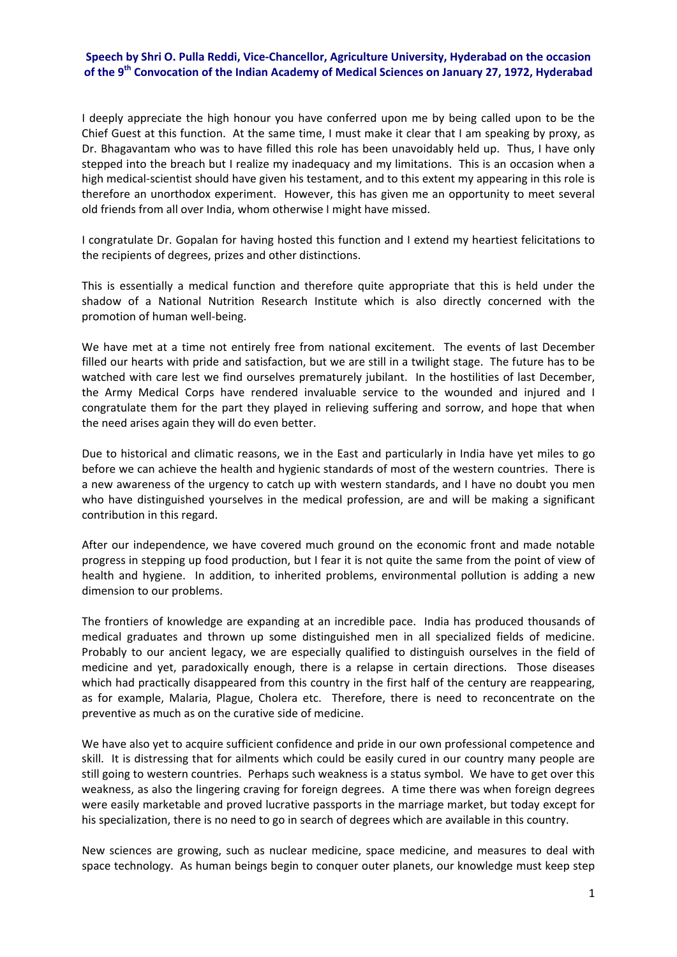## **Speech by Shri O. Pulla Reddi, Vice‐Chancellor, Agriculture University, Hyderabad on the occasion of the 9th Convocation of the Indian Academy of Medical Sciences on January 27, 1972, Hyderabad**

I deeply appreciate the high honour you have conferred upon me by being called upon to be the Chief Guest at this function. At the same time, I must make it clear that I am speaking by proxy, as Dr. Bhagavantam who was to have filled this role has been unavoidably held up. Thus, I have only stepped into the breach but I realize my inadequacy and my limitations. This is an occasion when a high medical-scientist should have given his testament, and to this extent my appearing in this role is therefore an unorthodox experiment. However, this has given me an opportunity to meet several old friends from all over India, whom otherwise I might have missed.

I congratulate Dr. Gopalan for having hosted this function and I extend my heartiest felicitations to the recipients of degrees, prizes and other distinctions.

This is essentially a medical function and therefore quite appropriate that this is held under the shadow of a National Nutrition Research Institute which is also directly concerned with the promotion of human well‐being.

We have met at a time not entirely free from national excitement. The events of last December filled our hearts with pride and satisfaction, but we are still in a twilight stage. The future has to be watched with care lest we find ourselves prematurely jubilant. In the hostilities of last December, the Army Medical Corps have rendered invaluable service to the wounded and injured and I congratulate them for the part they played in relieving suffering and sorrow, and hope that when the need arises again they will do even better.

Due to historical and climatic reasons, we in the East and particularly in India have yet miles to go before we can achieve the health and hygienic standards of most of the western countries. There is a new awareness of the urgency to catch up with western standards, and I have no doubt you men who have distinguished yourselves in the medical profession, are and will be making a significant contribution in this regard.

After our independence, we have covered much ground on the economic front and made notable progress in stepping up food production, but I fear it is not quite the same from the point of view of health and hygiene. In addition, to inherited problems, environmental pollution is adding a new dimension to our problems.

The frontiers of knowledge are expanding at an incredible pace. India has produced thousands of medical graduates and thrown up some distinguished men in all specialized fields of medicine. Probably to our ancient legacy, we are especially qualified to distinguish ourselves in the field of medicine and yet, paradoxically enough, there is a relapse in certain directions. Those diseases which had practically disappeared from this country in the first half of the century are reappearing, as for example, Malaria, Plague, Cholera etc. Therefore, there is need to reconcentrate on the preventive as much as on the curative side of medicine.

We have also yet to acquire sufficient confidence and pride in our own professional competence and skill. It is distressing that for ailments which could be easily cured in our country many people are still going to western countries. Perhaps such weakness is a status symbol. We have to get over this weakness, as also the lingering craving for foreign degrees. A time there was when foreign degrees were easily marketable and proved lucrative passports in the marriage market, but today except for his specialization, there is no need to go in search of degrees which are available in this country.

New sciences are growing, such as nuclear medicine, space medicine, and measures to deal with space technology. As human beings begin to conquer outer planets, our knowledge must keep step